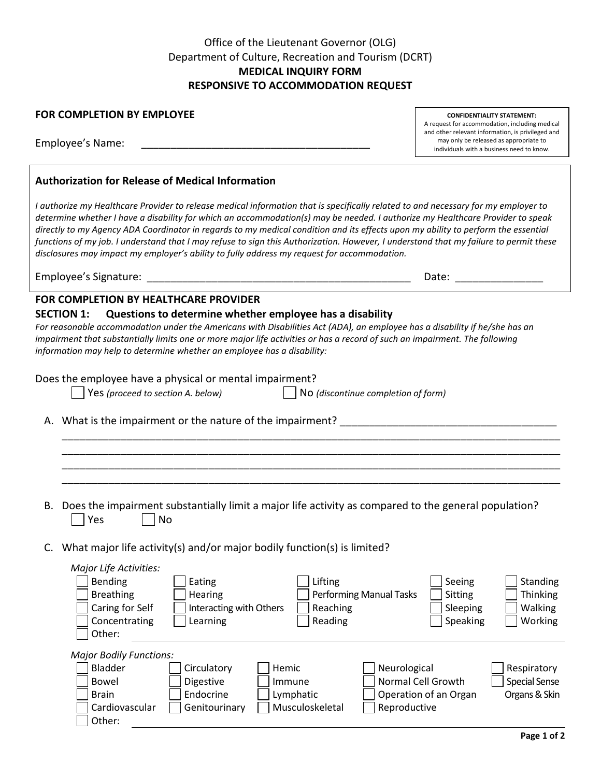# Office of the Lieutenant Governor (OLG) Department of Culture, Recreation and Tourism (DCRT) **MEDICAL INQUIRY FORM RESPONSIVE TO ACCOMMODATION REQUEST**

| <b>FOR COMPLETION BY EMPLOYEE</b> |  |  |
|-----------------------------------|--|--|
|                                   |  |  |

Employee's Name:

## **Authorization for Release of Medical Information**

*I authorize my Healthcare Provider to release medical information that is specifically related to and necessary for my employer to determine whether I have a disability for which an accommodation(s) may be needed. I authorize my Healthcare Provider to speak directly to my Agency ADA Coordinator in regards to my medical condition and its effects upon my ability to perform the essential functions of my job. I understand that I may refuse to sign this Authorization. However, I understand that my failure to permit these disclosures may impact my employer's ability to fully address my request for accommodation.*

Employee's Signature: \_\_\_\_\_\_\_\_\_\_\_\_\_\_\_\_\_\_\_\_\_\_\_\_\_\_\_\_\_\_\_\_\_\_\_\_\_\_\_\_\_\_\_\_\_ Date: \_\_\_\_\_\_\_\_\_\_\_\_\_\_\_

## **FOR COMPLETION BY HEALTHCARE PROVIDER**

### **SECTION 1: Questions to determine whether employee has a disability**

*For reasonable accommodation under the Americans with Disabilities Act (ADA), an employee has a disability if he/she has an impairment that substantially limits one or more major life activities or has a record of such an impairment. The following information may help to determine whether an employee has a disability:*

Does the employee have a physical or mental impairment?

Yes *(proceed to section A. below)* No *(discontinue completion of form)*

A. What is the impairment or the nature of the impairment? \_\_\_\_\_\_\_\_\_\_\_\_\_\_\_\_\_\_\_\_\_\_

B. Does the impairment substantially limit a major life activity as compared to the general population? Yes | | No

\_\_\_\_\_\_\_\_\_\_\_\_\_\_\_\_\_\_\_\_\_\_\_\_\_\_\_\_\_\_\_\_\_\_\_\_\_\_\_\_\_\_\_\_\_\_\_\_\_\_\_\_\_\_\_\_\_\_\_\_\_\_\_\_\_\_\_\_\_\_\_\_\_\_\_\_\_\_\_\_\_\_\_\_\_ \_\_\_\_\_\_\_\_\_\_\_\_\_\_\_\_\_\_\_\_\_\_\_\_\_\_\_\_\_\_\_\_\_\_\_\_\_\_\_\_\_\_\_\_\_\_\_\_\_\_\_\_\_\_\_\_\_\_\_\_\_\_\_\_\_\_\_\_\_\_\_\_\_\_\_\_\_\_\_\_\_\_\_\_\_ \_\_\_\_\_\_\_\_\_\_\_\_\_\_\_\_\_\_\_\_\_\_\_\_\_\_\_\_\_\_\_\_\_\_\_\_\_\_\_\_\_\_\_\_\_\_\_\_\_\_\_\_\_\_\_\_\_\_\_\_\_\_\_\_\_\_\_\_\_\_\_\_\_\_\_\_\_\_\_\_\_\_\_\_\_ \_\_\_\_\_\_\_\_\_\_\_\_\_\_\_\_\_\_\_\_\_\_\_\_\_\_\_\_\_\_\_\_\_\_\_\_\_\_\_\_\_\_\_\_\_\_\_\_\_\_\_\_\_\_\_\_\_\_\_\_\_\_\_\_\_\_\_\_\_\_\_\_\_\_\_\_\_\_\_\_\_\_\_\_\_

C. What major life activity(s) and/or major bodily function(s) is limited?

| Major Life Activities:         |                         |                 |                                |                       |                      |
|--------------------------------|-------------------------|-----------------|--------------------------------|-----------------------|----------------------|
| <b>Bending</b>                 | Eating                  | Lifting         |                                | Seeing                | <b>Standing</b>      |
| <b>Breathing</b>               | <b>Hearing</b>          |                 | <b>Performing Manual Tasks</b> | <b>Sitting</b>        | <b>Thinking</b>      |
| Caring for Self                | Interacting with Others | Reaching        |                                | Sleeping              | <b>Walking</b>       |
| Concentrating                  | Learning                | Reading         |                                | Speaking              | Working              |
| Other:                         |                         |                 |                                |                       |                      |
| <b>Major Bodily Functions:</b> |                         |                 |                                |                       |                      |
| Bladder                        | Circulatory             | Hemic           | Neurological                   |                       | Respiratory          |
| Bowel                          | Digestive               | Immune          | Normal Cell Growth             |                       | <b>Special Sense</b> |
| <b>Brain</b>                   | Endocrine               | Lymphatic       |                                | Operation of an Organ | Organs & Skin        |
| Cardiovascular                 | Genitourinary           | Musculoskeletal | Reproductive                   |                       |                      |
| Other:                         |                         |                 |                                |                       |                      |

**CONFIDENTIALITY STATEMENT:** A request for accommodation, including medical and other relevant information, is privileged and may only be released as appropriate to individuals with a business need to know.